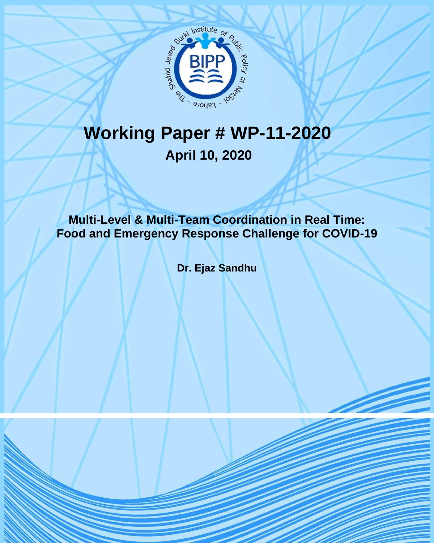

# **Working Paper # WP-11-2020 April 10, 2020**

**Multi-Level & Multi-Team Coordination in Real Time: Food and Emergency Response Challenge for COVID-19** 

**Dr. Ejaz Sandhu**

BIPP Working Paper-11-2020 1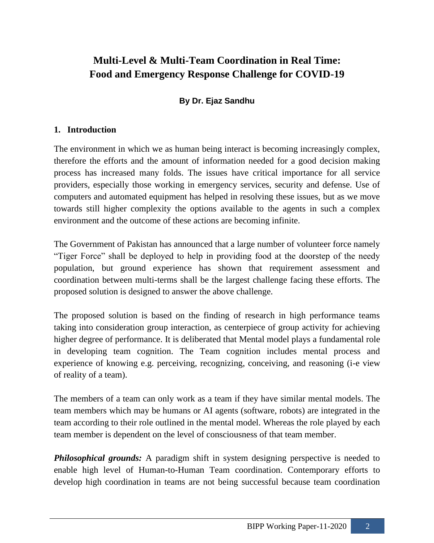# **Multi-Level & Multi-Team Coordination in Real Time: Food and Emergency Response Challenge for COVID-19**

## **By Dr. Ejaz Sandhu**

#### **1. Introduction**

The environment in which we as human being interact is becoming increasingly complex, therefore the efforts and the amount of information needed for a good decision making process has increased many folds. The issues have critical importance for all service providers, especially those working in emergency services, security and defense. Use of computers and automated equipment has helped in resolving these issues, but as we move towards still higher complexity the options available to the agents in such a complex environment and the outcome of these actions are becoming infinite.

The Government of Pakistan has announced that a large number of volunteer force namely "Tiger Force" shall be deployed to help in providing food at the doorstep of the needy population, but ground experience has shown that requirement assessment and coordination between multi-terms shall be the largest challenge facing these efforts. The proposed solution is designed to answer the above challenge.

The proposed solution is based on the finding of research in high performance teams taking into consideration group interaction, as centerpiece of group activity for achieving higher degree of performance. It is deliberated that Mental model plays a fundamental role in developing team cognition. The Team cognition includes mental process and experience of knowing e.g. perceiving, recognizing, conceiving, and reasoning (i-e view of reality of a team).

The members of a team can only work as a team if they have similar mental models. The team members which may be humans or AI agents (software, robots) are integrated in the team according to their role outlined in the mental model. Whereas the role played by each team member is dependent on the level of consciousness of that team member.

*Philosophical grounds:* A paradigm shift in system designing perspective is needed to enable high level of Human-to-Human Team coordination. Contemporary efforts to develop high coordination in teams are not being successful because team coordination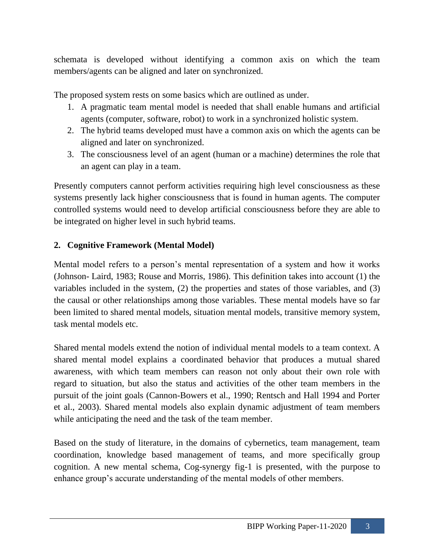schemata is developed without identifying a common axis on which the team members/agents can be aligned and later on synchronized.

The proposed system rests on some basics which are outlined as under.

- 1. A pragmatic team mental model is needed that shall enable humans and artificial agents (computer, software, robot) to work in a synchronized holistic system.
- 2. The hybrid teams developed must have a common axis on which the agents can be aligned and later on synchronized.
- 3. The consciousness level of an agent (human or a machine) determines the role that an agent can play in a team.

Presently computers cannot perform activities requiring high level consciousness as these systems presently lack higher consciousness that is found in human agents. The computer controlled systems would need to develop artificial consciousness before they are able to be integrated on higher level in such hybrid teams.

#### **2. Cognitive Framework (Mental Model)**

Mental model refers to a person's mental representation of a system and how it works (Johnson- Laird, 1983; Rouse and Morris, 1986). This definition takes into account (1) the variables included in the system, (2) the properties and states of those variables, and (3) the causal or other relationships among those variables. These mental models have so far been limited to shared mental models, situation mental models, transitive memory system, task mental models etc.

Shared mental models extend the notion of individual mental models to a team context. A shared mental model explains a coordinated behavior that produces a mutual shared awareness, with which team members can reason not only about their own role with regard to situation, but also the status and activities of the other team members in the pursuit of the joint goals (Cannon-Bowers et al., 1990; Rentsch and Hall 1994 and Porter et al., 2003). Shared mental models also explain dynamic adjustment of team members while anticipating the need and the task of the team member.

Based on the study of literature, in the domains of cybernetics, team management, team coordination, knowledge based management of teams, and more specifically group cognition. A new mental schema, Cog-synergy fig-1 is presented, with the purpose to enhance group's accurate understanding of the mental models of other members.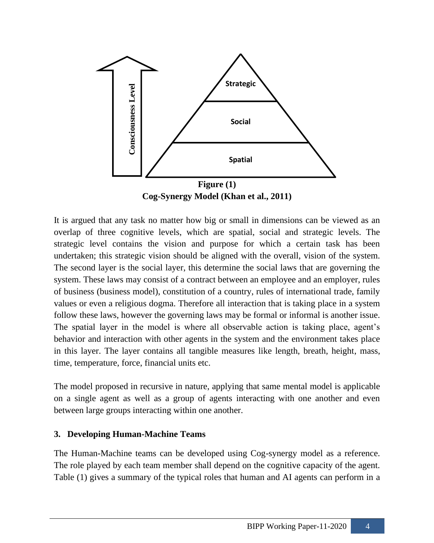

It is argued that any task no matter how big or small in dimensions can be viewed as an overlap of three cognitive levels, which are spatial, social and strategic levels. The strategic level contains the vision and purpose for which a certain task has been undertaken; this strategic vision should be aligned with the overall, vision of the system. The second layer is the social layer, this determine the social laws that are governing the system. These laws may consist of a contract between an employee and an employer, rules of business (business model), constitution of a country, rules of international trade, family values or even a religious dogma. Therefore all interaction that is taking place in a system follow these laws, however the governing laws may be formal or informal is another issue. The spatial layer in the model is where all observable action is taking place, agent's behavior and interaction with other agents in the system and the environment takes place in this layer. The layer contains all tangible measures like length, breath, height, mass, time, temperature, force, financial units etc.

The model proposed in recursive in nature, applying that same mental model is applicable on a single agent as well as a group of agents interacting with one another and even between large groups interacting within one another.

#### **3. Developing Human-Machine Teams**

The Human-Machine teams can be developed using Cog-synergy model as a reference. The role played by each team member shall depend on the cognitive capacity of the agent. Table (1) gives a summary of the typical roles that human and AI agents can perform in a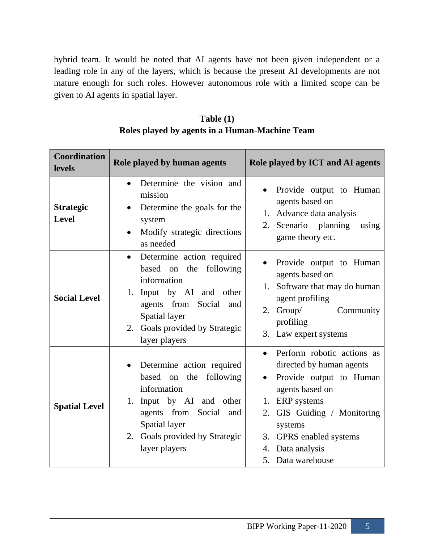hybrid team. It would be noted that AI agents have not been given independent or a leading role in any of the layers, which is because the present AI developments are not mature enough for such roles. However autonomous role with a limited scope can be given to AI agents in spatial layer.

| <b>Coordination</b><br><b>levels</b> | Role played by human agents                                                                                                                                                                                     | Role played by ICT and AI agents                                                                                                                                                                                                                                  |
|--------------------------------------|-----------------------------------------------------------------------------------------------------------------------------------------------------------------------------------------------------------------|-------------------------------------------------------------------------------------------------------------------------------------------------------------------------------------------------------------------------------------------------------------------|
| <b>Strategic</b><br><b>Level</b>     | Determine the vision and<br>mission<br>Determine the goals for the<br>system<br>Modify strategic directions<br>as needed                                                                                        | Provide output to Human<br>agents based on<br>1. Advance data analysis<br>2. Scenario planning<br>using<br>game theory etc.                                                                                                                                       |
| <b>Social Level</b>                  | Determine action required<br>$\bullet$<br>following<br>based on the<br>information<br>1. Input by AI and other<br>agents from Social<br>and<br>Spatial layer<br>2. Goals provided by Strategic<br>layer players | Provide output to Human<br>agents based on<br>Software that may do human<br>1.<br>agent profiling<br>Group/<br>Community<br>2.<br>profiling<br>3. Law expert systems                                                                                              |
| <b>Spatial Level</b>                 | Determine action required<br>based on the following<br>information<br>Input by AI and other<br>1.<br>agents from Social<br>and<br>Spatial layer<br>2. Goals provided by Strategic<br>layer players              | Perform robotic actions as<br>$\bullet$<br>directed by human agents<br>Provide output to Human<br>$\bullet$<br>agents based on<br>1. ERP systems<br>GIS Guiding / Monitoring<br>2.<br>systems<br>3. GPRS enabled systems<br>4. Data analysis<br>5. Data warehouse |

**Table (1) Roles played by agents in a Human-Machine Team**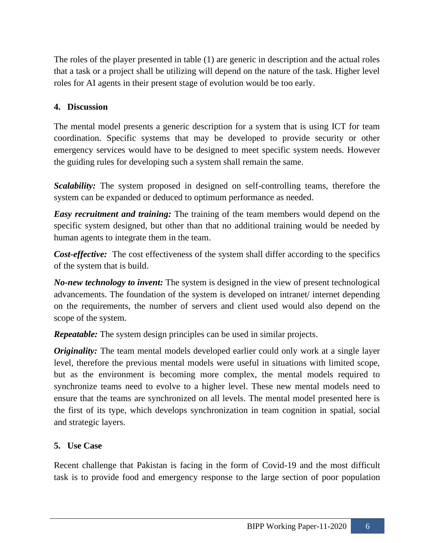The roles of the player presented in table (1) are generic in description and the actual roles that a task or a project shall be utilizing will depend on the nature of the task. Higher level roles for AI agents in their present stage of evolution would be too early.

### **4. Discussion**

The mental model presents a generic description for a system that is using ICT for team coordination. Specific systems that may be developed to provide security or other emergency services would have to be designed to meet specific system needs. However the guiding rules for developing such a system shall remain the same.

*Scalability:* The system proposed in designed on self-controlling teams, therefore the system can be expanded or deduced to optimum performance as needed.

*Easy recruitment and training:* The training of the team members would depend on the specific system designed, but other than that no additional training would be needed by human agents to integrate them in the team.

*Cost-effective:* The cost effectiveness of the system shall differ according to the specifics of the system that is build.

*No-new technology to invent:* The system is designed in the view of present technological advancements. The foundation of the system is developed on intranet/ internet depending on the requirements, the number of servers and client used would also depend on the scope of the system.

*Repeatable:* The system design principles can be used in similar projects.

*Originality:* The team mental models developed earlier could only work at a single layer level, therefore the previous mental models were useful in situations with limited scope, but as the environment is becoming more complex, the mental models required to synchronize teams need to evolve to a higher level. These new mental models need to ensure that the teams are synchronized on all levels. The mental model presented here is the first of its type, which develops synchronization in team cognition in spatial, social and strategic layers.

#### **5. Use Case**

Recent challenge that Pakistan is facing in the form of Covid-19 and the most difficult task is to provide food and emergency response to the large section of poor population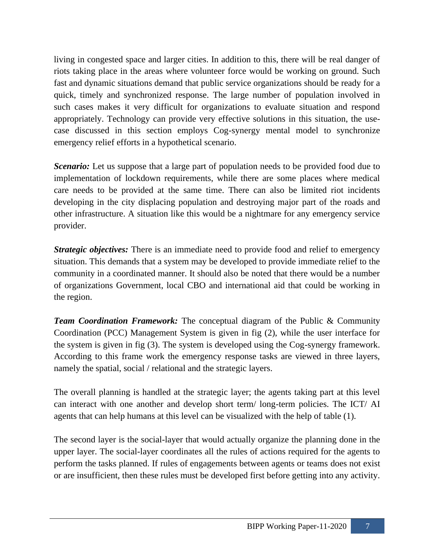living in congested space and larger cities. In addition to this, there will be real danger of riots taking place in the areas where volunteer force would be working on ground. Such fast and dynamic situations demand that public service organizations should be ready for a quick, timely and synchronized response. The large number of population involved in such cases makes it very difficult for organizations to evaluate situation and respond appropriately. Technology can provide very effective solutions in this situation, the usecase discussed in this section employs Cog-synergy mental model to synchronize emergency relief efforts in a hypothetical scenario.

*Scenario:* Let us suppose that a large part of population needs to be provided food due to implementation of lockdown requirements, while there are some places where medical care needs to be provided at the same time. There can also be limited riot incidents developing in the city displacing population and destroying major part of the roads and other infrastructure. A situation like this would be a nightmare for any emergency service provider.

*Strategic objectives:* There is an immediate need to provide food and relief to emergency situation. This demands that a system may be developed to provide immediate relief to the community in a coordinated manner. It should also be noted that there would be a number of organizations Government, local CBO and international aid that could be working in the region.

*Team Coordination Framework:* The conceptual diagram of the Public & Community Coordination (PCC) Management System is given in fig (2), while the user interface for the system is given in fig (3). The system is developed using the Cog-synergy framework. According to this frame work the emergency response tasks are viewed in three layers, namely the spatial, social / relational and the strategic layers.

The overall planning is handled at the strategic layer; the agents taking part at this level can interact with one another and develop short term/ long-term policies. The ICT/ AI agents that can help humans at this level can be visualized with the help of table (1).

The second layer is the social-layer that would actually organize the planning done in the upper layer. The social-layer coordinates all the rules of actions required for the agents to perform the tasks planned. If rules of engagements between agents or teams does not exist or are insufficient, then these rules must be developed first before getting into any activity.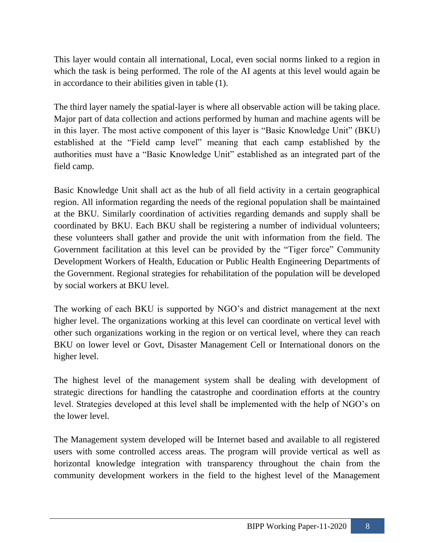This layer would contain all international, Local, even social norms linked to a region in which the task is being performed. The role of the AI agents at this level would again be in accordance to their abilities given in table (1).

The third layer namely the spatial-layer is where all observable action will be taking place. Major part of data collection and actions performed by human and machine agents will be in this layer. The most active component of this layer is "Basic Knowledge Unit" (BKU) established at the "Field camp level" meaning that each camp established by the authorities must have a "Basic Knowledge Unit" established as an integrated part of the field camp.

Basic Knowledge Unit shall act as the hub of all field activity in a certain geographical region. All information regarding the needs of the regional population shall be maintained at the BKU. Similarly coordination of activities regarding demands and supply shall be coordinated by BKU. Each BKU shall be registering a number of individual volunteers; these volunteers shall gather and provide the unit with information from the field. The Government facilitation at this level can be provided by the "Tiger force" Community Development Workers of Health, Education or Public Health Engineering Departments of the Government. Regional strategies for rehabilitation of the population will be developed by social workers at BKU level.

The working of each BKU is supported by NGO's and district management at the next higher level. The organizations working at this level can coordinate on vertical level with other such organizations working in the region or on vertical level, where they can reach BKU on lower level or Govt, Disaster Management Cell or International donors on the higher level.

The highest level of the management system shall be dealing with development of strategic directions for handling the catastrophe and coordination efforts at the country level. Strategies developed at this level shall be implemented with the help of NGO's on the lower level.

The Management system developed will be Internet based and available to all registered users with some controlled access areas. The program will provide vertical as well as horizontal knowledge integration with transparency throughout the chain from the community development workers in the field to the highest level of the Management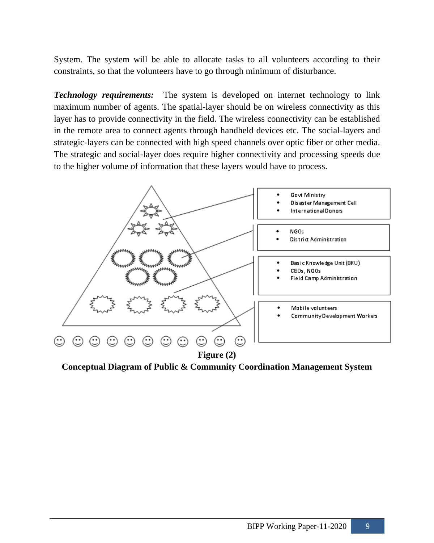System. The system will be able to allocate tasks to all volunteers according to their constraints, so that the volunteers have to go through minimum of disturbance.

*Technology requirements:* The system is developed on internet technology to link maximum number of agents. The spatial-layer should be on wireless connectivity as this layer has to provide connectivity in the field. The wireless connectivity can be established in the remote area to connect agents through handheld devices etc. The social-layers and strategic-layers can be connected with high speed channels over optic fiber or other media. The strategic and social-layer does require higher connectivity and processing speeds due to the higher volume of information that these layers would have to process.



**Conceptual Diagram of Public & Community Coordination Management System**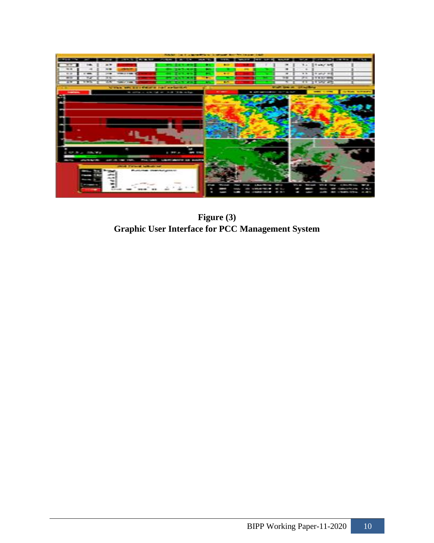

**Figure (3) Graphic User Interface for PCC Management System**